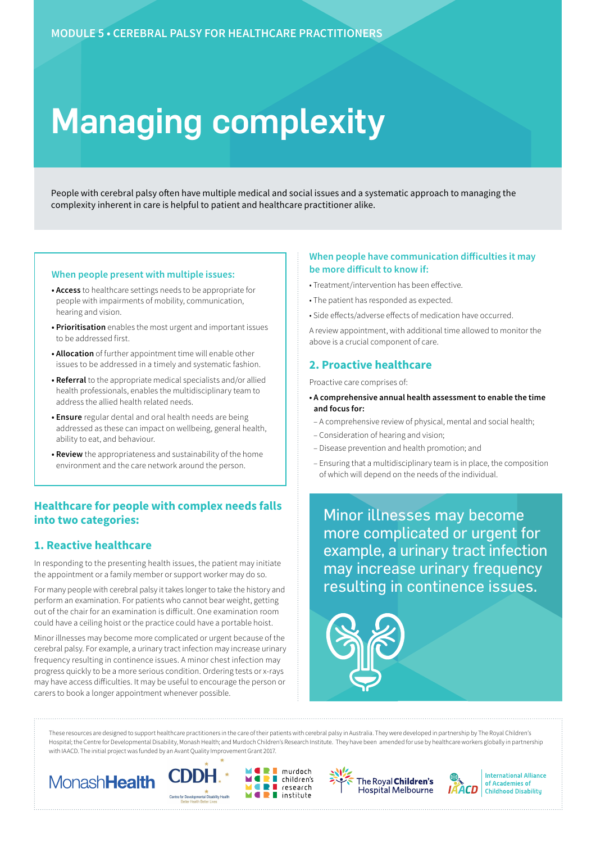# Managing complexity

People with cerebral palsy often have multiple medical and social issues and a systematic approach to managing the complexity inherent in care is helpful to patient and healthcare practitioner alike.

#### **When people present with multiple issues:**

- **Access** to healthcare settings needs to be appropriate for people with impairments of mobility, communication, hearing and vision.
- **Prioritisation** enables the most urgent and important issues to be addressed first.
- **Allocation** of further appointment time will enable other issues to be addressed in a timely and systematic fashion.
- **Referral** to the appropriate medical specialists and/or allied health professionals, enables the multidisciplinary team to address the allied health related needs.
- **Ensure** regular dental and oral health needs are being addressed as these can impact on wellbeing, general health, ability to eat, and behaviour.
- **Review** the appropriateness and sustainability of the home environment and the care network around the person.

# **Healthcare for people with complex needs falls into two categories:**

# **1. Reactive healthcare**

In responding to the presenting health issues, the patient may initiate the appointment or a family member or support worker may do so.

For many people with cerebral palsy it takes longer to take the history and perform an examination. For patients who cannot bear weight, getting out of the chair for an examination is difficult. One examination room could have a ceiling hoist or the practice could have a portable hoist.

Minor illnesses may become more complicated or urgent because of the cerebral palsy. For example, a urinary tract infection may increase urinary frequency resulting in continence issues. A minor chest infection may progress quickly to be a more serious condition. Ordering tests or x-rays may have access difficulties. It may be useful to encourage the person or carers to book a longer appointment whenever possible.

#### **When people have communication difficulties it may be more difficult to know if:**

- Treatment/intervention has been effective.
- The patient has responded as expected.
- Side effects/adverse effects of medication have occurred.

A review appointment, with additional time allowed to monitor the above is a crucial component of care.

## **2. Proactive healthcare**

Proactive care comprises of:

- **A comprehensive annual health assessment to enable the time and focus for:**
- A comprehensive review of physical, mental and social health;
- Consideration of hearing and vision;
- Disease prevention and health promotion; and
- Ensuring that a multidisciplinary team is in place, the composition of which will depend on the needs of the individual.

Minor illnesses may become more complicated or urgent for example, a urinary tract infection may increase urinary frequency resulting in continence issues.



These resources are designed to support healthcare practitioners in the care of their patients with cerebral palsy in Australia. They were developed in partnership by The Royal Children's Hospital; the Centre for Developmental Disability, Monash Health; and Murdoch Children's Research Institute. They have been amended for use by healthcare workers globally in partnership with IAACD. The initial project was funded by an Avant Quality Improvement Grant 2017.

murdoch

research

 $\blacksquare$  children's

 $\blacksquare$  institute

 $\blacksquare$ 

ÌĪ









**International Alliance** of Academies of **Childhood Disability**